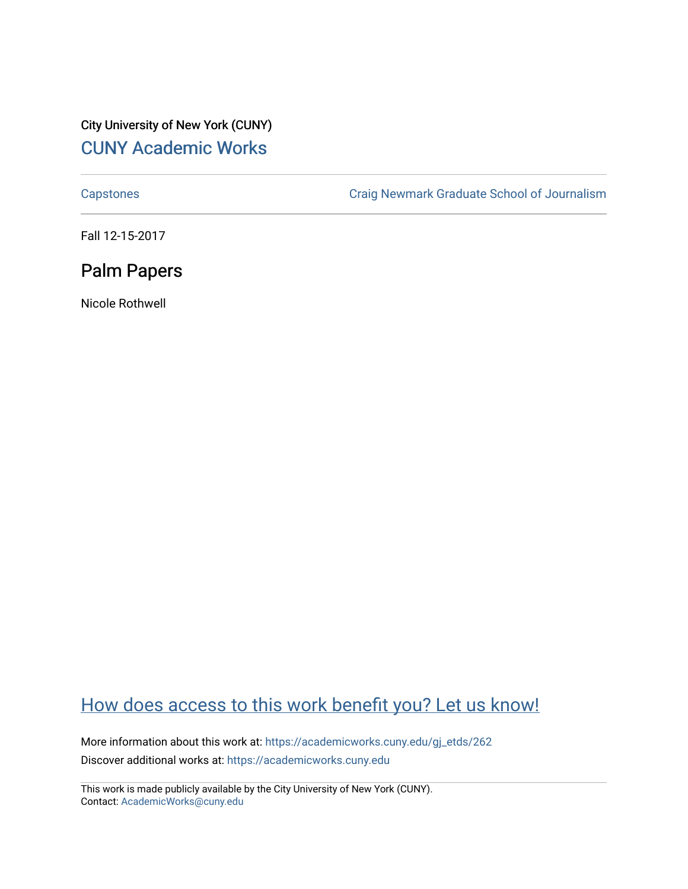## City University of New York (CUNY) [CUNY Academic Works](https://academicworks.cuny.edu/)

[Capstones](https://academicworks.cuny.edu/gj_etds) [Craig Newmark Graduate School of Journalism](https://academicworks.cuny.edu/gj) 

Fall 12-15-2017

# Palm Papers

Nicole Rothwell

# [How does access to this work benefit you? Let us know!](http://ols.cuny.edu/academicworks/?ref=https://academicworks.cuny.edu/gj_etds/262)

More information about this work at: [https://academicworks.cuny.edu/gj\\_etds/262](https://academicworks.cuny.edu/gj_etds/262)  Discover additional works at: [https://academicworks.cuny.edu](https://academicworks.cuny.edu/?)

This work is made publicly available by the City University of New York (CUNY). Contact: [AcademicWorks@cuny.edu](mailto:AcademicWorks@cuny.edu)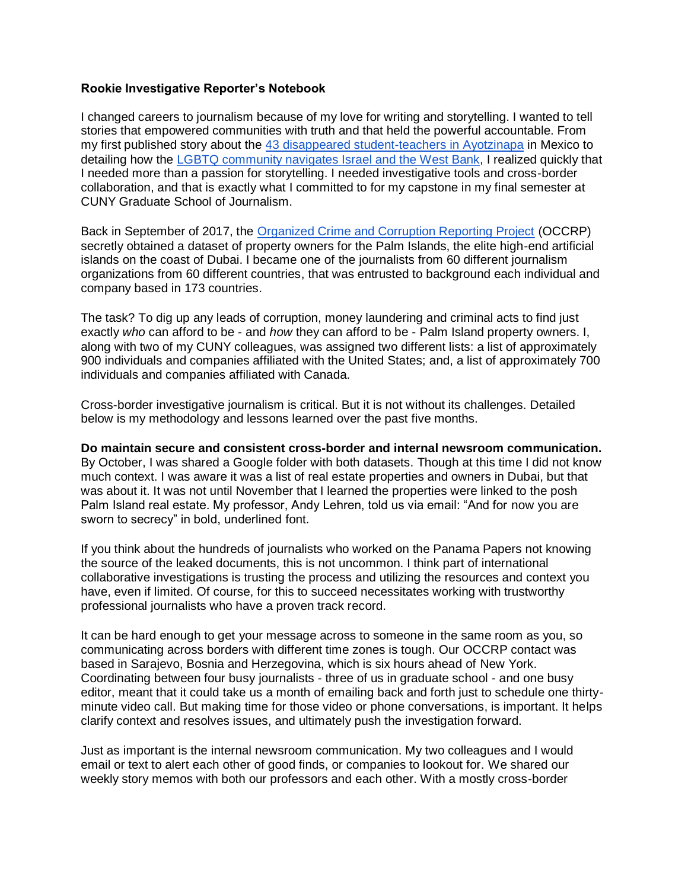#### **Rookie Investigative Reporter's Notebook**

I changed careers to journalism because of my love for writing and storytelling. I wanted to tell stories that empowered communities with truth and that held the powerful accountable. From my first published story about the [43 disappeared student-teachers in Ayotzinapa](https://www.americas.org/archives/16732) in Mexico to detailing how the [LGBTQ community navigates Israel and the West Bank,](http://cunyjisrael2017.journalism.cuny.edu/project/lgbtq/) I realized quickly that I needed more than a passion for storytelling. I needed investigative tools and cross-border collaboration, and that is exactly what I committed to for my capstone in my final semester at CUNY Graduate School of Journalism.

Back in September of 2017, the [Organized Crime and Corruption Reporting Project](https://www.occrp.org/en) (OCCRP) secretly obtained a dataset of property owners for the Palm Islands, the elite high-end artificial islands on the coast of Dubai. I became one of the journalists from 60 different journalism organizations from 60 different countries, that was entrusted to background each individual and company based in 173 countries.

The task? To dig up any leads of corruption, money laundering and criminal acts to find just exactly *who* can afford to be - and *how* they can afford to be - Palm Island property owners. I, along with two of my CUNY colleagues, was assigned two different lists: a list of approximately 900 individuals and companies affiliated with the United States; and, a list of approximately 700 individuals and companies affiliated with Canada.

Cross-border investigative journalism is critical. But it is not without its challenges. Detailed below is my methodology and lessons learned over the past five months.

#### **Do maintain secure and consistent cross-border and internal newsroom communication.**

By October, I was shared a Google folder with both datasets. Though at this time I did not know much context. I was aware it was a list of real estate properties and owners in Dubai, but that was about it. It was not until November that I learned the properties were linked to the posh Palm Island real estate. My professor, Andy Lehren, told us via email: "And for now you are sworn to secrecy" in bold, underlined font.

If you think about the hundreds of journalists who worked on the Panama Papers not knowing the source of the leaked documents, this is not uncommon. I think part of international collaborative investigations is trusting the process and utilizing the resources and context you have, even if limited. Of course, for this to succeed necessitates working with trustworthy professional journalists who have a proven track record.

It can be hard enough to get your message across to someone in the same room as you, so communicating across borders with different time zones is tough. Our OCCRP contact was based in Sarajevo, Bosnia and Herzegovina, which is six hours ahead of New York. Coordinating between four busy journalists - three of us in graduate school - and one busy editor, meant that it could take us a month of emailing back and forth just to schedule one thirtyminute video call. But making time for those video or phone conversations, is important. It helps clarify context and resolves issues, and ultimately push the investigation forward.

Just as important is the internal newsroom communication. My two colleagues and I would email or text to alert each other of good finds, or companies to lookout for. We shared our weekly story memos with both our professors and each other. With a mostly cross-border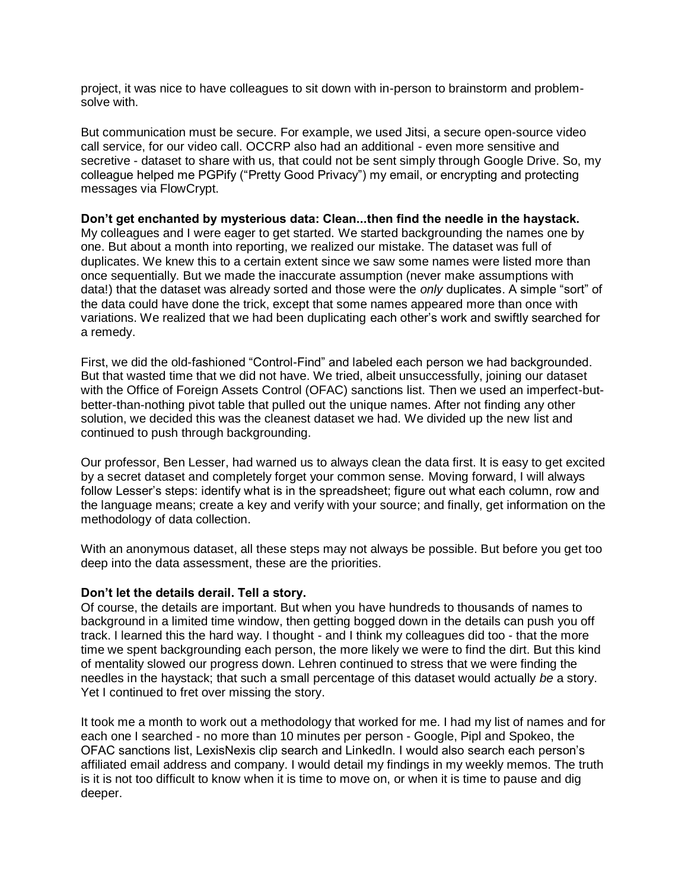project, it was nice to have colleagues to sit down with in-person to brainstorm and problemsolve with.

But communication must be secure. For example, we used Jitsi, a secure open-source video call service, for our video call. OCCRP also had an additional - even more sensitive and secretive - dataset to share with us, that could not be sent simply through Google Drive. So, my colleague helped me PGPify ("Pretty Good Privacy") my email, or encrypting and protecting messages via FlowCrypt.

#### **Don't get enchanted by mysterious data: Clean...then find the needle in the haystack.**

My colleagues and I were eager to get started. We started backgrounding the names one by one. But about a month into reporting, we realized our mistake. The dataset was full of duplicates. We knew this to a certain extent since we saw some names were listed more than once sequentially. But we made the inaccurate assumption (never make assumptions with data!) that the dataset was already sorted and those were the *only* duplicates. A simple "sort" of the data could have done the trick, except that some names appeared more than once with variations. We realized that we had been duplicating each other's work and swiftly searched for a remedy.

First, we did the old-fashioned "Control-Find" and labeled each person we had backgrounded. But that wasted time that we did not have. We tried, albeit unsuccessfully, joining our dataset with the Office of Foreign Assets Control (OFAC) sanctions list. Then we used an imperfect-butbetter-than-nothing pivot table that pulled out the unique names. After not finding any other solution, we decided this was the cleanest dataset we had. We divided up the new list and continued to push through backgrounding.

Our professor, Ben Lesser, had warned us to always clean the data first. It is easy to get excited by a secret dataset and completely forget your common sense. Moving forward, I will always follow Lesser's steps: identify what is in the spreadsheet; figure out what each column, row and the language means; create a key and verify with your source; and finally, get information on the methodology of data collection.

With an anonymous dataset, all these steps may not always be possible. But before you get too deep into the data assessment, these are the priorities.

#### **Don't let the details derail. Tell a story.**

Of course, the details are important. But when you have hundreds to thousands of names to background in a limited time window, then getting bogged down in the details can push you off track. I learned this the hard way. I thought - and I think my colleagues did too - that the more time we spent backgrounding each person, the more likely we were to find the dirt. But this kind of mentality slowed our progress down. Lehren continued to stress that we were finding the needles in the haystack; that such a small percentage of this dataset would actually *be* a story. Yet I continued to fret over missing the story.

It took me a month to work out a methodology that worked for me. I had my list of names and for each one I searched - no more than 10 minutes per person - Google, Pipl and Spokeo, the OFAC sanctions list, LexisNexis clip search and LinkedIn. I would also search each person's affiliated email address and company. I would detail my findings in my weekly memos. The truth is it is not too difficult to know when it is time to move on, or when it is time to pause and dig deeper.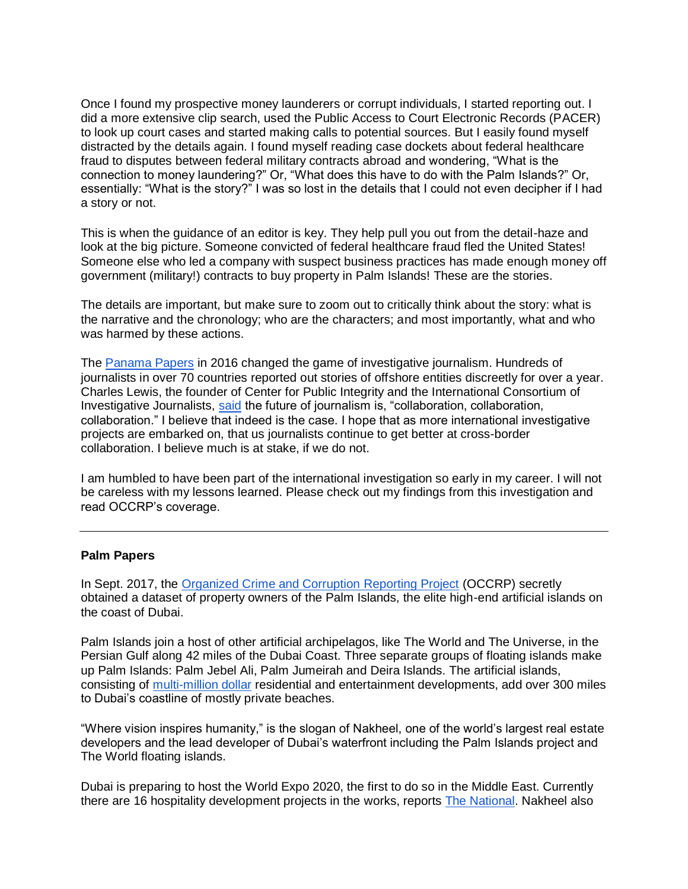Once I found my prospective money launderers or corrupt individuals, I started reporting out. I did a more extensive clip search, used the Public Access to Court Electronic Records (PACER) to look up court cases and started making calls to potential sources. But I easily found myself distracted by the details again. I found myself reading case dockets about federal healthcare fraud to disputes between federal military contracts abroad and wondering, "What is the connection to money laundering?" Or, "What does this have to do with the Palm Islands?" Or, essentially: "What is the story?" I was so lost in the details that I could not even decipher if I had a story or not.

This is when the guidance of an editor is key. They help pull you out from the detail-haze and look at the big picture. Someone convicted of federal healthcare fraud fled the United States! Someone else who led a company with suspect business practices has made enough money off government (military!) contracts to buy property in Palm Islands! These are the stories.

The details are important, but make sure to zoom out to critically think about the story: what is the narrative and the chronology; who are the characters; and most importantly, what and who was harmed by these actions.

The [Panama Papers](https://panamapapers.icij.org/) in 2016 changed the game of investigative journalism. Hundreds of journalists in over 70 countries reported out stories of offshore entities discreetly for over a year. Charles Lewis, the founder of Center for Public Integrity and the International Consortium of Investigative Journalists, [said](https://www.theguardian.com/commentisfree/2016/apr/18/future-of-journalism-collaboration-panama-papers) the future of journalism is, "collaboration, collaboration, collaboration." I believe that indeed is the case. I hope that as more international investigative projects are embarked on, that us journalists continue to get better at cross-border collaboration. I believe much is at stake, if we do not.

I am humbled to have been part of the international investigation so early in my career. I will not be careless with my lessons learned. Please check out my findings from this investigation and read OCCRP's coverage.

#### **Palm Papers**

In Sept. 2017, the [Organized Crime and Corruption Reporting Project](https://www.occrp.org/en) (OCCRP) secretly obtained a dataset of property owners of the Palm Islands, the elite high-end artificial islands on the coast of Dubai.

Palm Islands join a host of other artificial archipelagos, like The World and The Universe, in the Persian Gulf along 42 miles of the Dubai Coast. Three separate groups of floating islands make up Palm Islands: Palm Jebel Ali, Palm Jumeirah and Deira Islands. The artificial islands, consisting of [multi-million dollar](https://www.propertyfinder.ae/search?l=86&q=&c=1&t=&pf=&pt=&bf=&bt=&af=&at=&kw=&ob=pd) residential and entertainment developments, add over 300 miles to Dubai's coastline of mostly private beaches.

"Where vision inspires humanity," is the slogan of Nakheel, one of the world's largest real estate developers and the lead developer of Dubai's waterfront including the Palm Islands project and The World floating islands.

Dubai is preparing to host the World Expo 2020, the first to do so in the Middle East. Currently there are 16 hospitality development projects in the works, reports [The National.](https://www.thenational.ae/business/property/nakheel-awards-dh385m-construction-contract-for-beachfront-resort-in-dubai-1.692505) Nakheel also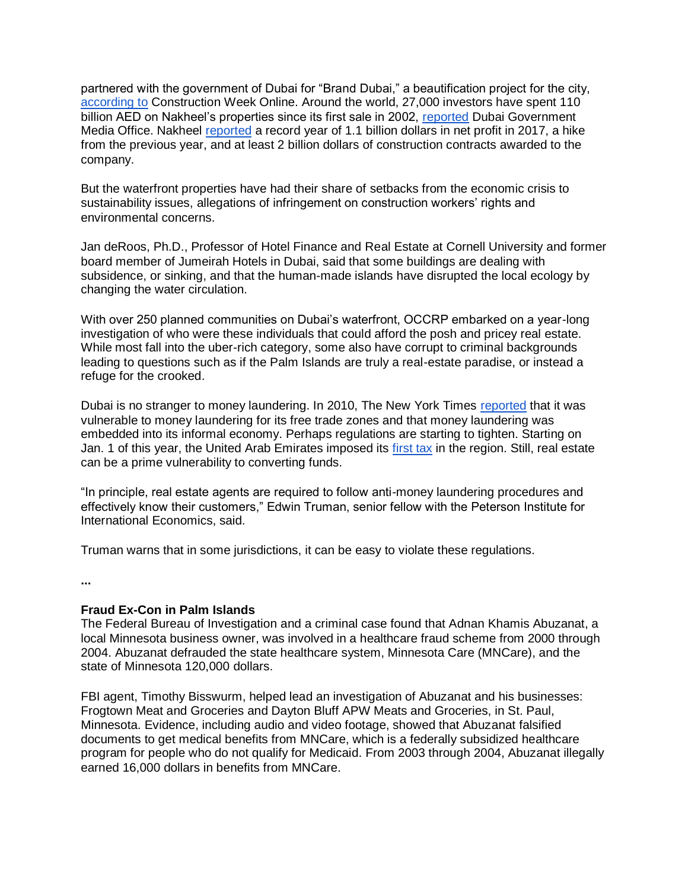partnered with the government of Dubai for "Brand Dubai," a beautification project for the city, [according to](http://www.constructionweekonline.com/article-44705-nakheel-signs-agreement-with-brand-dubai/) Construction Week Online. Around the world, 27,000 investors have spent 110 billion AED on Nakheel's properties since its first sale in 2002, [reported](http://mediaoffice.ae/en/media-center/news/4/9/2017/nakheel.aspx) Dubai Government Media Office. Nakheel [reported](http://www.constructionweekonline.com/article-46889-dubais-nakheel-records-1bn-net-profit-in-9m-2017/1/) a record year of 1.1 billion dollars in net profit in 2017, a hike from the previous year, and at least 2 billion dollars of construction contracts awarded to the company.

But the waterfront properties have had their share of setbacks from the economic crisis to sustainability issues, allegations of infringement on construction workers' rights and environmental concerns.

Jan deRoos, Ph.D., Professor of Hotel Finance and Real Estate at Cornell University and former board member of Jumeirah Hotels in Dubai, said that some buildings are dealing with subsidence, or sinking, and that the human-made islands have disrupted the local ecology by changing the water circulation.

With over 250 planned communities on Dubai's waterfront, OCCRP embarked on a year-long investigation of who were these individuals that could afford the posh and pricey real estate. While most fall into the uber-rich category, some also have corrupt to criminal backgrounds leading to questions such as if the Palm Islands are truly a real-estate paradise, or instead a refuge for the crooked.

Dubai is no stranger to money laundering. In 2010, The New York Times [reported](http://www.nytimes.com/2010/12/02/business/global/02iht-m02blaunder.html) that it was vulnerable to money laundering for its free trade zones and that money laundering was embedded into its informal economy. Perhaps regulations are starting to tighten. Starting on Jan. 1 of this year, the United Arab Emirates imposed its [first tax](https://economictimes.indiatimes.com/news/economy/policy/for-money-launderers-its-no-longer-dubai-duty-free/articleshow/62075924.cms) in the region. Still, real estate can be a prime vulnerability to converting funds.

"In principle, real estate agents are required to follow anti-money laundering procedures and effectively know their customers," Edwin Truman, senior fellow with the Peterson Institute for International Economics, said.

Truman warns that in some jurisdictions, it can be easy to violate these regulations.

**...**

### **Fraud Ex-Con in Palm Islands**

The Federal Bureau of Investigation and a criminal case found that Adnan Khamis Abuzanat, a local Minnesota business owner, was involved in a healthcare fraud scheme from 2000 through 2004. Abuzanat defrauded the state healthcare system, Minnesota Care (MNCare), and the state of Minnesota 120,000 dollars.

FBI agent, Timothy Bisswurm, helped lead an investigation of Abuzanat and his businesses: Frogtown Meat and Groceries and Dayton Bluff APW Meats and Groceries, in St. Paul, Minnesota. Evidence, including audio and video footage, showed that Abuzanat falsified documents to get medical benefits from MNCare, which is a federally subsidized healthcare program for people who do not qualify for Medicaid. From 2003 through 2004, Abuzanat illegally earned 16,000 dollars in benefits from MNCare.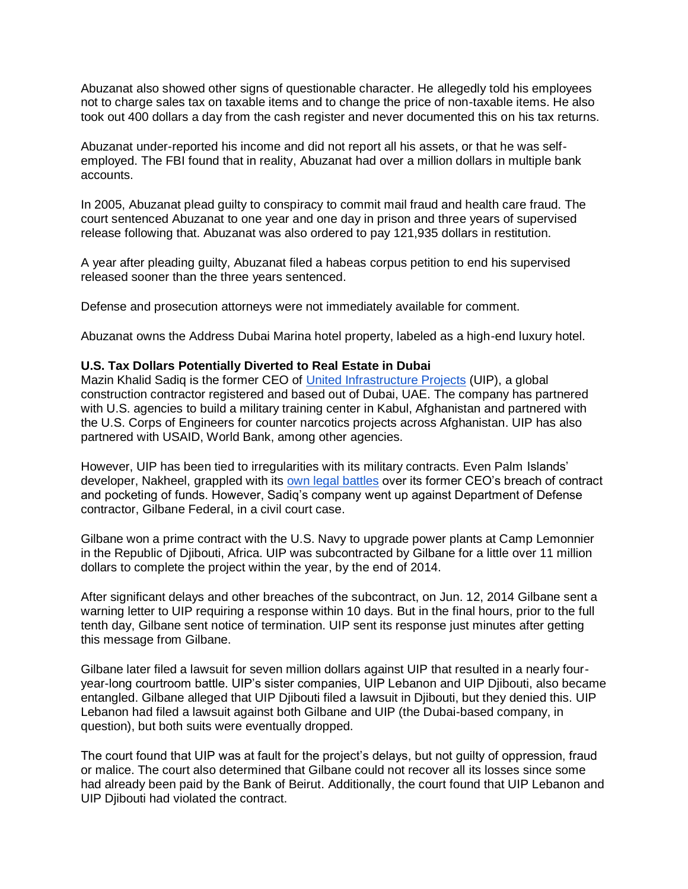Abuzanat also showed other signs of questionable character. He allegedly told his employees not to charge sales tax on taxable items and to change the price of non-taxable items. He also took out 400 dollars a day from the cash register and never documented this on his tax returns.

Abuzanat under-reported his income and did not report all his assets, or that he was selfemployed. The FBI found that in reality, Abuzanat had over a million dollars in multiple bank accounts.

In 2005, Abuzanat plead guilty to conspiracy to commit mail fraud and health care fraud. The court sentenced Abuzanat to one year and one day in prison and three years of supervised release following that. Abuzanat was also ordered to pay 121,935 dollars in restitution.

A year after pleading guilty, Abuzanat filed a habeas corpus petition to end his supervised released sooner than the three years sentenced.

Defense and prosecution attorneys were not immediately available for comment.

Abuzanat owns the Address Dubai Marina hotel property, labeled as a high-end luxury hotel.

### **U.S. Tax Dollars Potentially Diverted to Real Estate in Dubai**

Mazin Khalid Sadiq is the former CEO of [United Infrastructure Projects](https://www.uiprojects.net/) (UIP), a global construction contractor registered and based out of Dubai, UAE. The company has partnered with U.S. agencies to build a military training center in Kabul, Afghanistan and partnered with the U.S. Corps of Engineers for counter narcotics projects across Afghanistan. UIP has also partnered with USAID, World Bank, among other agencies.

However, UIP has been tied to irregularities with its military contracts. Even Palm Islands' developer, Nakheel, grappled with its [own legal battles](http://www.constructionweekonline.com/article-15077-nakheel-chris-odonnell-would-have-been-fired/) over its former CEO's breach of contract and pocketing of funds. However, Sadiq's company went up against Department of Defense contractor, Gilbane Federal, in a civil court case.

Gilbane won a prime contract with the U.S. Navy to upgrade power plants at Camp Lemonnier in the Republic of Djibouti, Africa. UIP was subcontracted by Gilbane for a little over 11 million dollars to complete the project within the year, by the end of 2014.

After significant delays and other breaches of the subcontract, on Jun. 12, 2014 Gilbane sent a warning letter to UIP requiring a response within 10 days. But in the final hours, prior to the full tenth day, Gilbane sent notice of termination. UIP sent its response just minutes after getting this message from Gilbane.

Gilbane later filed a lawsuit for seven million dollars against UIP that resulted in a nearly fouryear-long courtroom battle. UIP's sister companies, UIP Lebanon and UIP Djibouti, also became entangled. Gilbane alleged that UIP Djibouti filed a lawsuit in Djibouti, but they denied this. UIP Lebanon had filed a lawsuit against both Gilbane and UIP (the Dubai-based company, in question), but both suits were eventually dropped.

The court found that UIP was at fault for the project's delays, but not guilty of oppression, fraud or malice. The court also determined that Gilbane could not recover all its losses since some had already been paid by the Bank of Beirut. Additionally, the court found that UIP Lebanon and UIP Djibouti had violated the contract.